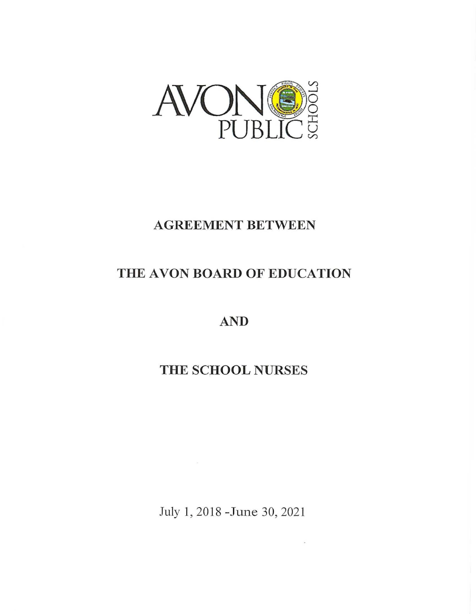

# **AGREEMENT BETWEEN**

# **THE A VON BOARD OF EDUCATION**

**AND** 

# **THE SCHOOL NURSES**

July 1, 2018 -June 30, 2021

ò.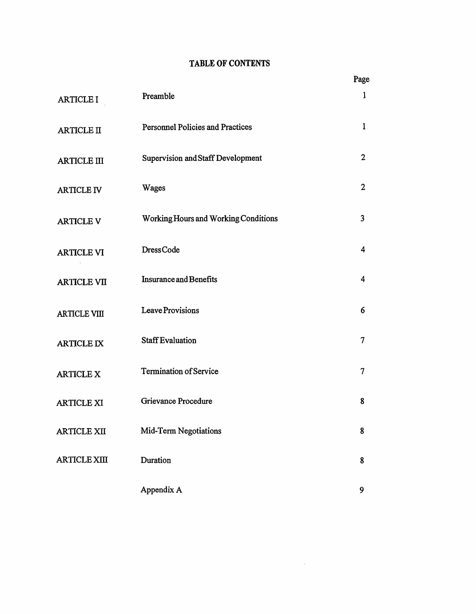# **TABLE OF CONTENTS**

|                     |                                             | Page           |
|---------------------|---------------------------------------------|----------------|
| <b>ARTICLE I</b>    | Preamble                                    | $\mathbf{1}$   |
| <b>ARTICLE II</b>   | <b>Personnel Policies and Practices</b>     | $\mathbf{1}$   |
| <b>ARTICLE III</b>  | Supervision and Staff Development           | $\overline{2}$ |
| <b>ARTICLE IV</b>   | Wages                                       | $\overline{2}$ |
| <b>ARTICLE V</b>    | <b>Working Hours and Working Conditions</b> | 3              |
| <b>ARTICLE VI</b>   | DressCode                                   | $\overline{4}$ |
| <b>ARTICLE VII</b>  | <b>Insurance and Benefits</b>               | 4              |
| <b>ARTICLE VIII</b> | Leave Provisions                            | 6              |
| <b>ARTICLE IX</b>   | <b>Staff Evaluation</b>                     | $\tau$         |
| <b>ARTICLE X</b>    | <b>Termination of Service</b>               | 7              |
| <b>ARTICLE XI</b>   | Grievance Procedure                         | 8              |
| <b>ARTICLE XII</b>  | Mid-Term Negotiations                       | 8              |
| <b>ARTICLE XIII</b> | Duration                                    | 8              |
|                     | Appendix A                                  | 9              |

 $\sim 400$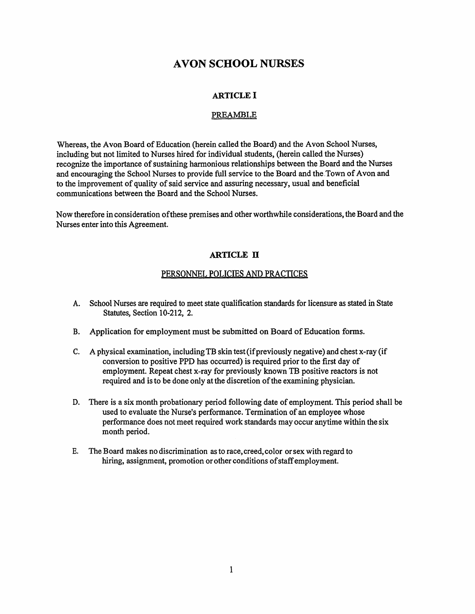# **AVON SCHOOL NURSES**

## **ARTICLE** I

#### PREAMBLE

Whereas, the Avon Board of Education (herein called the Board) and the Avon School Nurses, including but not limited to Nurses hired for individual students, (herein called the Nurses) recognize the importance of sustaining harmonious relationships between the Board and the Nurses and encouraging the School Nurses to provide full service to the Board and the .Town of Avon and to the improvement of quality of said service and assuring necessary, usual and beneficial communications between the Board and the School Nurses.

Now therefore in consideration of these premises and other worthwhile considerations, the Board and the Nurses enter into this Agreement.

#### **ARTICLE** II

#### PERSONNEL POLICIES AND PRACTICES

- A. School Nurses are required to meet state qualification standards for licensure as stated in State Statutes, Section 10-212, 2.
- B. Application for employment must be submitted on Board of Education forms.
- C. A physical examination, including TB skin test (if previously negative) and chest x-ray (if conversion to positive PPD has occurred) is required prior to the first day of employment. Repeat chest x-ray for previously known TB positive reactors is not required and is to be done only at the discretion of the examining physician.
- D. There is a six month probationary period following date of employment. This period shall be used to evaluate the Nurse's performance. Termination of an employee whose performance does not meet required work standards may occur anytime within the six month period.
- E. The Board makes no discrimination as to race, creed, color or sex with regard to hiring, assignment, promotion or other conditions of staff employment.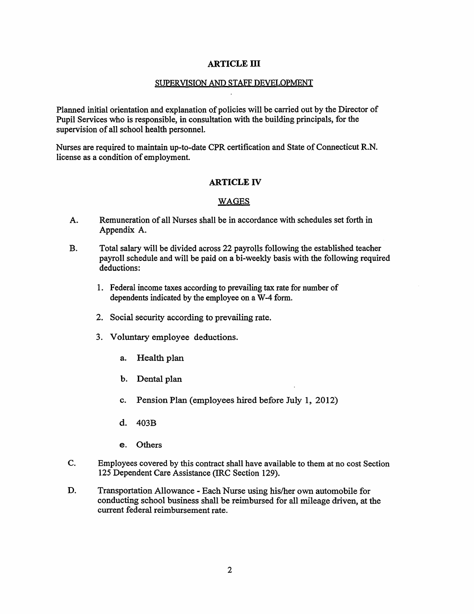#### **ARTICLE** ID

#### SUPERVISION AND STAFF DEVELOPMENT

Planned initial orientation and explanation of policies will be carried out by the Director of Pupil Services who is responsible, in consultation with the building principals, for the supervision of all school health personnel.

Nurses are required to maintain up-to-date CPR certification and State of Connecticut R.N. license as a condition of employment.

### **ARTICLE** IV

#### WAGES

- A. Remuneration of all Nurses shall be in accordance with schedules set forth in Appendix A.
- B. Total salary will be divided across 22 payrolls following the established teacher payroll schedule and will be paid on a bi-weekly basis with the following required deductions:
	- 1. Federal income taxes according to prevailing tax rate for number of dependents indicated by the employee on a W-4 form.
	- 2. Social security according to prevailing rate.
	- 3. Voluntary employee deductions.
		- a. Health plan
		- b. Dental plan
		- c. Pension Plan (employees hired before July 1, 2012)
		- d. 403B
		- e. Others
- C. Employees covered by this contract shall have available to them at no cost Section 125 Dependent Care Assistance (IRC Section 129).
- D. Transportation Allowance Each Nurse using his/her own automobile for conducting school business shall be reimbursed for all mileage driven, at the current federal reimbursement rate.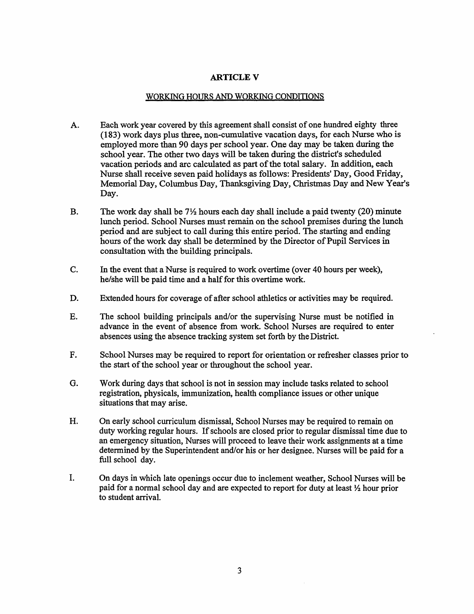### **ARTICLEV**

#### WORKING HOURS AND WORKING CONDITIONS

- A. Each work year covered by this agreement shall consist of one hundred eighty three (183) work days plus three, non-cumulative vacation days, for each Nurse who is employed more than 90 days per school year. One day may be taken during the school year. The other two days will be taken during the district's scheduled vacation periods and arc calculated as part of the total salary. In addition, each Nurse shall receive seven paid holidays as follows: Presidents' Day, Good Friday, Memorial Day, Columbus Day, Thanksgiving Day, Christmas Day and New Year's Day.
- B. The work day shall be  $7\frac{1}{2}$  hours each day shall include a paid twenty (20) minute lunch period. School Nurses must remain on the school premises during the lunch period and are subject to call during this entire period. The starting and ending hours of the work day shall be determined by the Director of Pupil Services in consultation with the building principals.
- C. In the event that a Nurse is required to work overtime ( over 40 hours per week), he/she will be paid time and a half for this overtime work.
- D. Extended hours for coverage of after school athletics or activities may be required.
- E. The school building principals and/or the supervising Nurse must be notified in advance in the event of absence from work. School Nurses are required to enter absences using the absence tracking system set forth by the District.
- F. School Nurses may be required to report for orientation or refresher classes prior to the start of the school year or throughout the school year.
- G. Work during days that school is not in session may include tasks related to school registration, physicals, immunization, health compliance issues or other unique situations that may arise.
- H. On early school curriculum dismissal, School Nurses may be required to remain on duty working regular hours. If schools are closed prior to regular dismissal time due to an emergency situation, Nurses will proceed to leave their work assignments at a time determined by the Superintendent and/or his or her designee. Nurses will be paid for a full school day.
- I. On days in which late openings occur due to inclement weather, School Nurses will be paid for a normal school day and are expected to report for duty at least *Yz* hour prior to student arrival.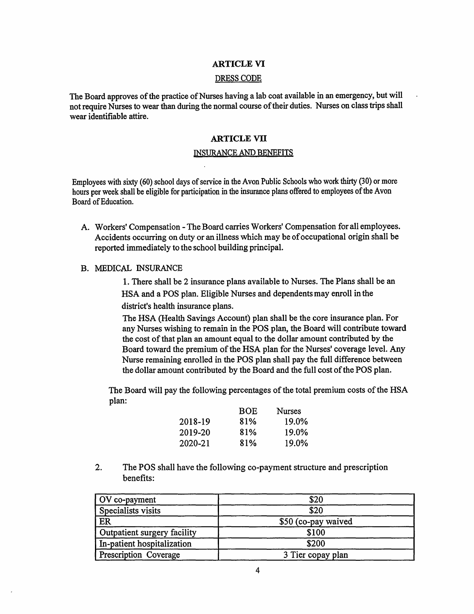#### **ARTICLE VI**

#### DRESS CODE

The Board approves of the practice of Nurses having a lab coat available in an emergency, but will not require Nurses to wear than during the normal course of their duties. Nurses on class trips shall wear identifiable attire.

#### **ARTICLE VII**

#### INSURANCE AND BENEFITS

Employees with sixty (60) school days of service in the Avon Public Schools who work thirty (30) or more hours per week shall be eligible for participation in the insurance plans offered to employees of the Avon Board of Education.

- A. Workers' Compensation -The Board carries Workers' Compensation for all employees. Accidents occurring on duty or an illness which may be of occupational origin shall be reported immediately to the school building principal.
- B. MEDICAL INSURANCE

1. There shall be 2 insurance plans available to Nurses. The Plans shall be an HSA and a POS plan. Eligible Nurses and dependents may enroll in the district's health insurance plans.

The HSA (Health Savings Account) plan shall be the core insurance plan. For any Nurses wishing to remain in the POS plan, the Board will contribute toward the cost of that plan an amount equal to the dollar amount contributed by the Board toward the premium of the HSA plan for the Nurses' coverage level. Any Nurse remaining enrolled in the POS plan shall pay the full difference between the dollar amount contributed by the Board and the full cost of the POS plan.

The Board will pay the following percentages of the total premium costs of the HSA plan:

|         | <b>BOE</b> | <b>Nurses</b> |
|---------|------------|---------------|
| 2018-19 | 81%        | 19.0%         |
| 2019-20 | 81%        | 19.0%         |
| 2020-21 | 81%        | 19.0%         |

2. The POS shall have the following co-payment structure and prescription benefits:

| OV co-payment               | \$20                |  |
|-----------------------------|---------------------|--|
| Specialists visits          | \$20                |  |
| ER                          | \$50 (co-pay waived |  |
| Outpatient surgery facility | \$100               |  |
| In-patient hospitalization  | \$200               |  |
| Prescription Coverage       | 3 Tier copay plan   |  |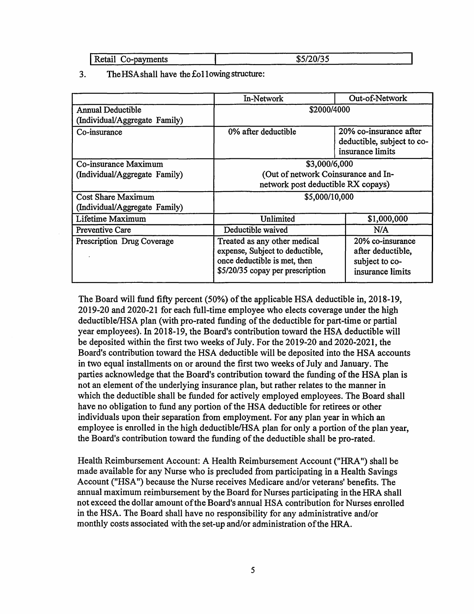|                       | ----<br>---                             |
|-----------------------|-----------------------------------------|
| Retail<br>Co-payments | $\sim$<br>,,,,<br>m –<br>ـە<br>-------- |

3. The HSAshall have the £011 owing structure:

|                               | In-Network                                                                                                                          | Out-of-Network                                                              |
|-------------------------------|-------------------------------------------------------------------------------------------------------------------------------------|-----------------------------------------------------------------------------|
| <b>Annual Deductible</b>      | \$2000/4000                                                                                                                         |                                                                             |
| (Individual/Aggregate Family) |                                                                                                                                     |                                                                             |
| Co-insurance                  | 0% after deductible                                                                                                                 | 20% co-insurance after                                                      |
|                               |                                                                                                                                     | deductible, subject to co-                                                  |
|                               |                                                                                                                                     | insurance limits                                                            |
| Co-insurance Maximum          | \$3,000/6,000                                                                                                                       |                                                                             |
| (Individual/Aggregate Family) | (Out of network Coinsurance and In-                                                                                                 |                                                                             |
|                               | network post deductible RX copays)                                                                                                  |                                                                             |
| <b>Cost Share Maximum</b>     | \$5,000/10,000                                                                                                                      |                                                                             |
| (Individual/Aggregate Family) |                                                                                                                                     |                                                                             |
| Lifetime Maximum              | Unlimited                                                                                                                           | \$1,000,000                                                                 |
| <b>Preventive Care</b>        | Deductible waived                                                                                                                   | N/A                                                                         |
| Prescription Drug Coverage    | Treated as any other medical<br>expense, Subject to deductible,<br>once deductible is met, then<br>\$5/20/35 copay per prescription | 20% co-insurance<br>after deductible,<br>subject to co-<br>insurance limits |

The Board will fund fifty percent (50%) of the applicable HSA deductible in, 2018-19, 2019-20 and 2020-21 for each full-time employee who elects coverage under the high deductible/RSA plan (with pro-rated funding of the deductible for part-time or partial year employees). In 2018-19, the Board's contribution toward the HSA deductible will be deposited within the first two weeks of July. For the 2019-20 and 2020-2021, the Board's contribution toward the HSA deductible will be deposited into the HSA accounts in two equal installments on or around the first two weeks of July and January. The parties acknowledge that the Board's contribution toward the funding of the HSA plan is not an element of the underlying insurance plan, but rather relates to the manner in which the deductible shall be funded for actively employed employees. The Board shall have no obligation to fund any portion of the HSA deductible for retirees or other individuals upon their separation from employment. For any plan year in which an employee is enrolled in the high deductible/RSA plan for only a portion of the plan year, the Board's contribution toward the funding of the deductible shall be pro-rated.

Health Reimbursement Account: A Health Reimbursement Account ("HRA") shall be made available for any Nurse who is precluded from participating in a Health Savings Account ("HSA ") because the Nurse receives Medicare and/or veterans' benefits. The annual maximum reimbursement by the Board for Nurses participating in the HRA shall not exceed the dollar amount of the Board's annual HSA contribution for Nurses enrolled in the HSA. The Board shall have no responsibility for any administrative and/or monthly costs associated with the set-up and/or administration of the HRA.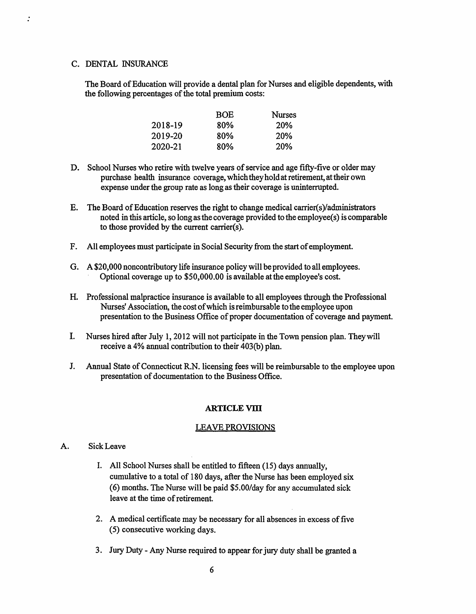#### C. DENTAL INSURANCE

 $\mathbf{r}$ 

The Board of Education will provide a dental plan for Nurses and eligible dependents, with the following percentages of the total premium costs:

|         | <b>BOE</b> | <b>Nurses</b> |
|---------|------------|---------------|
| 2018-19 | 80%        | <b>20%</b>    |
| 2019-20 | 80%        | 20%           |
| 2020-21 | 80%        | <b>20%</b>    |

- D. School Nurses who retire with twelve years of service and age fifty-five or older may purchase health insurance coverage, which they hold at retirement, at their own expense under the group rate as long as their coverage is uninterrupted.
- E. The Board of Education reserves the right to change medical carrier(s)/administrators noted in this article, so long as the coverage provided to the employee(s) is comparable to those provided by the current carrier(s).
- F. All employees must participate in Social Security from the start of employment.
- G. A \$20,000 noncontributory life insurance policy will be provided to all employees. Optional coverage up to \$50,000.00 is available at the employee's cost.
- H. Professional malpractice insurance is available to all employees through the Professional Nurses' Association, the cost of which is reimbursable to the employee upon presentation to the Business Office of proper documentation of coverage and payment.
- I. Nurses hired after July 1, 2012 will not participate in the Town pension plan. Theywill receive a 4% annual contribution to their 403(b) plan.
- J. Annual State of Connecticut R.N. licensing fees will be reimbursable to the employee upon presentation of documentation to the Business Office.

#### **ARTICLEVIll**

#### LEA VE PROVISIONS

- A. Sick Leave
	- I. All School Nurses shall be entitled to fifteen (15) days annually, cumulative to a total of 180 days, after the Nurse has been employed six (6) months. The Nurse will be paid \$5.00/day for any accumulated sick leave at the time of retirement.
	- 2. A medical certificate may be necessary for all absences in excess of five (5) consecutive working days.
	- 3. Jury Duty Any Nurse required to appear for jury duty shall be granted a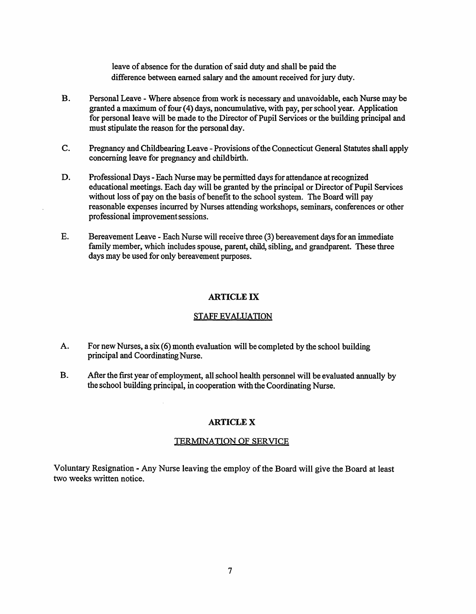leave of absence for the duration of said duty and shall be paid the difference between earned salary and the amount received for jury duty.

- B. Personal Leave Where absence from work is necessary and unavoidable, each Nurse may be granted a maximum of four (4) days, noncumulative, with pay, per school year. Application for personal leave will be made to the Director of Pupil Services or the building principal and must stipulate the reason for the personal day.
- C. Pregnancy and Childbearing Leave-Provisions of the Connecticut General Statutes shall apply concerning leave for pregnancy and childbirth.
- D. Professional Days Each Nurse may be permitted days for attendance at recognized educational meetings. Each day will be granted by the principal or Director of Pupil Services without loss of pay on the basis of benefit to the school system. The Board will pay reasonable expenses incurred by Nurses attending workshops, seminars, conferences or other professional improvement sessions.
- E. Bereavement Leave Each Nurse will receive three (3) bereavement days for an immediate family member, which includes spouse, parent, child, sibling, and grandparent. These three days may be used for only bereavement purposes.

#### **ARTICLE** IX

#### STAFF EVALUATION

- A. For new Nurses, a six (6) month evaluation will be completed by the school building principal and Coordinating Nurse.
- B. After the first year of employment, all school health personnel will be evaluated annually by the school building principal, in cooperation with the Coordinating Nurse.

#### **ARTICLEX**

#### TERMINATION OF SERVICE

Voluntary Resignation - Any Nurse leaving the employ of the Board will give the Board at least two weeks written notice.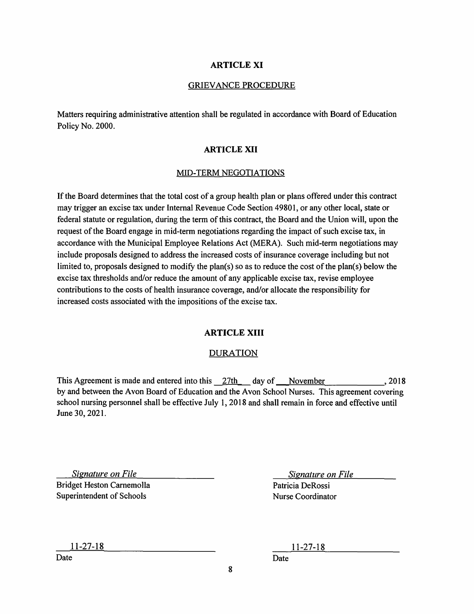#### **ARTICLE XI**

#### GRIEVANCE PROCEDURE

Matters requiring administrative attention shall be regulated in accordance with Board of Education Policy No. 2000.

#### **ARTICLE XII**

#### MID-TERM NEGOTIATIONS

If the Board determines that the total cost of a group health plan or plans offered under this contract may trigger an excise tax under Internal Revenue Code Section 4980 I, or any other local, state or federal statute or regulation, during the term of this contract, the Board and the Union will, upon the request of the Board engage in mid-term negotiations regarding the impact of such excise tax, in accordance with the Municipal Employee Relations Act (MERA). Such mid-term negotiations may include proposals designed to address the increased costs of insurance coverage including but not limited to, proposals designed to modify the plan(s) so as to reduce the cost of the plan(s) below the excise tax thresholds and/or reduce the amount of any applicable excise tax, revise employee contributions to the costs of health insurance coverage, and/or allocate the responsibility for increased costs associated with the impositions of the excise tax.

#### **ARTICLE XIII**

#### DURATION

This Agreement is made and entered into this 27th day of November , 2018 by and between the Avon Board of Education and the Avon School Nurses. This agreement covering school nursing personnel shall be effective July I, 2018 and shall remain in force and effective until June 30, 2021.

*Signature on File*  Bridget Heston Carnemolla Superintendent of Schools

*Signature on File* 

Patricia DeRossi Nurse Coordinator

11-27-18

Date

11-27-18

Date